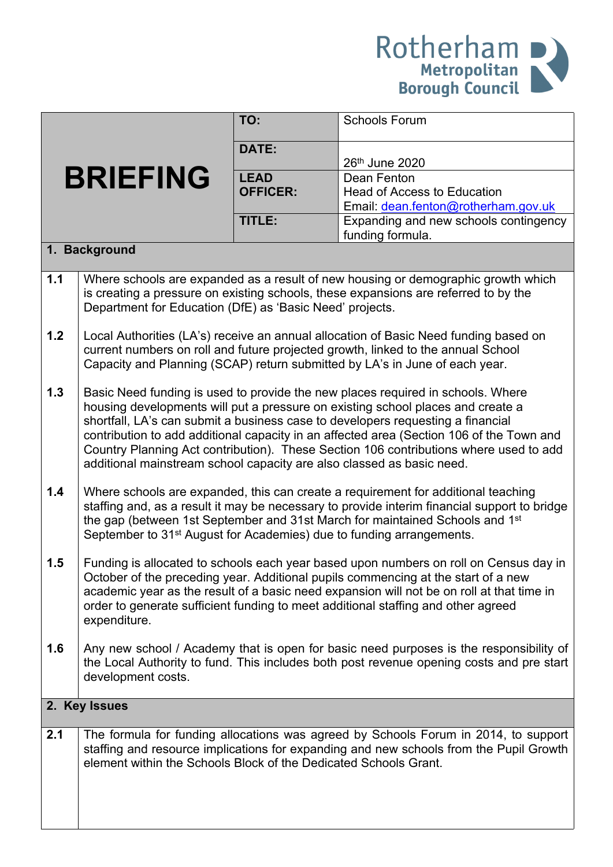

|                 |                                                                                                                                                                                                                                                                                                                                                                                                                                                                                                                     | TO:                            | <b>Schools Forum</b>                                                                                                                                                          |  |  |  |
|-----------------|---------------------------------------------------------------------------------------------------------------------------------------------------------------------------------------------------------------------------------------------------------------------------------------------------------------------------------------------------------------------------------------------------------------------------------------------------------------------------------------------------------------------|--------------------------------|-------------------------------------------------------------------------------------------------------------------------------------------------------------------------------|--|--|--|
|                 |                                                                                                                                                                                                                                                                                                                                                                                                                                                                                                                     | DATE:                          | 26th June 2020                                                                                                                                                                |  |  |  |
| <b>BRIEFING</b> |                                                                                                                                                                                                                                                                                                                                                                                                                                                                                                                     | <b>LEAD</b><br><b>OFFICER:</b> | Dean Fenton<br>Head of Access to Education<br>Email: dean.fenton@rotherham.gov.uk                                                                                             |  |  |  |
|                 |                                                                                                                                                                                                                                                                                                                                                                                                                                                                                                                     | TITLE:                         | Expanding and new schools contingency<br>funding formula.                                                                                                                     |  |  |  |
|                 | 1. Background                                                                                                                                                                                                                                                                                                                                                                                                                                                                                                       |                                |                                                                                                                                                                               |  |  |  |
| 1.1             | Department for Education (DfE) as 'Basic Need' projects.                                                                                                                                                                                                                                                                                                                                                                                                                                                            |                                | Where schools are expanded as a result of new housing or demographic growth which<br>is creating a pressure on existing schools, these expansions are referred to by the      |  |  |  |
| $1.2$           | Local Authorities (LA's) receive an annual allocation of Basic Need funding based on<br>current numbers on roll and future projected growth, linked to the annual School<br>Capacity and Planning (SCAP) return submitted by LA's in June of each year.                                                                                                                                                                                                                                                             |                                |                                                                                                                                                                               |  |  |  |
| 1.3             | Basic Need funding is used to provide the new places required in schools. Where<br>housing developments will put a pressure on existing school places and create a<br>shortfall, LA's can submit a business case to developers requesting a financial<br>contribution to add additional capacity in an affected area (Section 106 of the Town and<br>Country Planning Act contribution). These Section 106 contributions where used to add<br>additional mainstream school capacity are also classed as basic need. |                                |                                                                                                                                                                               |  |  |  |
| 1.4             | Where schools are expanded, this can create a requirement for additional teaching<br>staffing and, as a result it may be necessary to provide interim financial support to bridge<br>the gap (between 1st September and 31st March for maintained Schools and 1 <sup>st</sup><br>September to 31 <sup>st</sup> August for Academies) due to funding arrangements.                                                                                                                                                   |                                |                                                                                                                                                                               |  |  |  |
| 1.5             | Funding is allocated to schools each year based upon numbers on roll on Census day in<br>October of the preceding year. Additional pupils commencing at the start of a new<br>academic year as the result of a basic need expansion will not be on roll at that time in<br>order to generate sufficient funding to meet additional staffing and other agreed<br>expenditure.                                                                                                                                        |                                |                                                                                                                                                                               |  |  |  |
| 1.6             | Any new school / Academy that is open for basic need purposes is the responsibility of<br>the Local Authority to fund. This includes both post revenue opening costs and pre start<br>development costs.                                                                                                                                                                                                                                                                                                            |                                |                                                                                                                                                                               |  |  |  |
| 2. Key Issues   |                                                                                                                                                                                                                                                                                                                                                                                                                                                                                                                     |                                |                                                                                                                                                                               |  |  |  |
| 2.1             | element within the Schools Block of the Dedicated Schools Grant.                                                                                                                                                                                                                                                                                                                                                                                                                                                    |                                | The formula for funding allocations was agreed by Schools Forum in 2014, to support<br>staffing and resource implications for expanding and new schools from the Pupil Growth |  |  |  |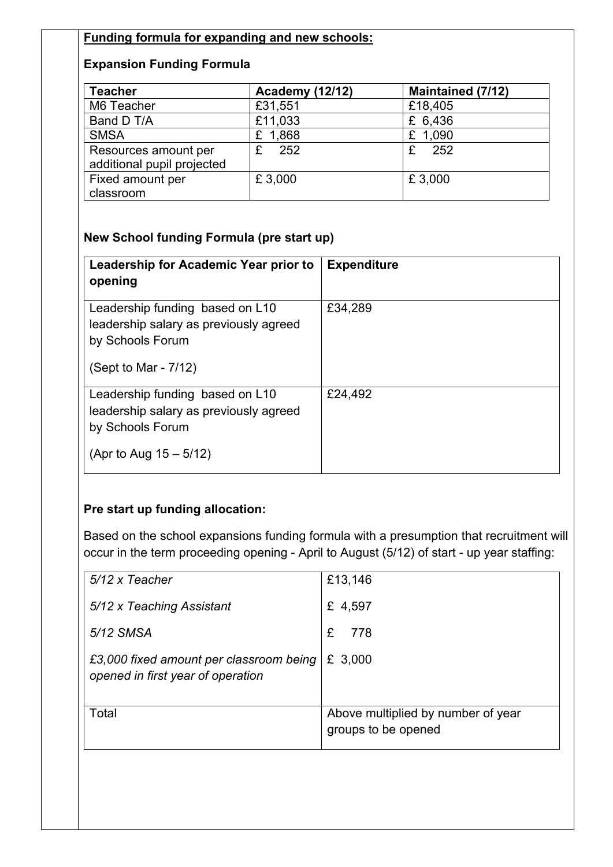## **Funding formula for expanding and new schools:**

## **Expansion Funding Formula**

| <b>Teacher</b>                                     | <b>Academy (12/12)</b> | <b>Maintained (7/12)</b> |
|----------------------------------------------------|------------------------|--------------------------|
| M6 Teacher                                         | £31,551                | £18,405                  |
| Band D T/A                                         | £11,033                | £ 6,436                  |
| <b>SMSA</b>                                        | £ 1,868                | £ 1,090                  |
| Resources amount per<br>additional pupil projected | 252<br>£               | 252<br>£                 |
| Fixed amount per                                   | £3,000                 | £3,000                   |
| classroom                                          |                        |                          |

## **New School funding Formula (pre start up)**

| Leadership for Academic Year prior to<br>opening                                                                           | <b>Expenditure</b> |
|----------------------------------------------------------------------------------------------------------------------------|--------------------|
| Leadership funding based on L10<br>leadership salary as previously agreed<br>by Schools Forum<br>(Sept to Mar - $7/12$ )   | £34,289            |
| Leadership funding based on L10<br>leadership salary as previously agreed<br>by Schools Forum<br>(Apr to Aug $15 - 5/12$ ) | £24,492            |

## **Pre start up funding allocation:**

Based on the school expansions funding formula with a presumption that recruitment will occur in the term proceeding opening - April to August (5/12) of start - up year staffing:

| £13,146                                                   |
|-----------------------------------------------------------|
| £ 4,597                                                   |
| £<br>778                                                  |
| £ 3,000                                                   |
| Above multiplied by number of year<br>groups to be opened |
|                                                           |
|                                                           |